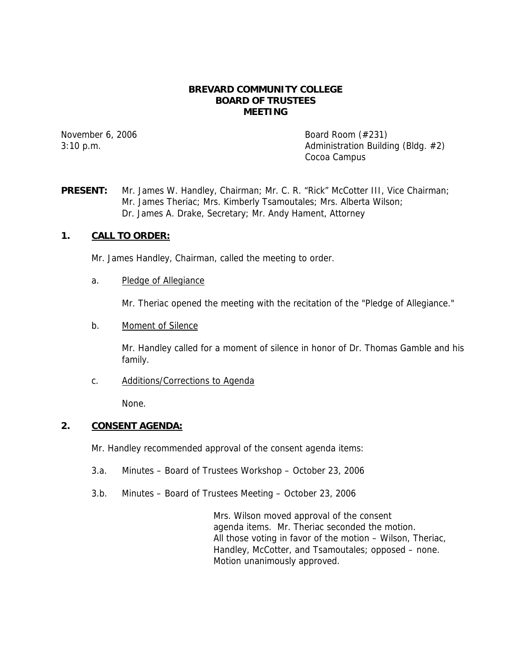### **BREVARD COMMUNITY COLLEGE BOARD OF TRUSTEES MEETING**

November 6, 2006 Board Room (#231) 3:10 p.m. Administration Building (Bldg. #2) Cocoa Campus

**PRESENT:** Mr. James W. Handley, Chairman; Mr. C. R. "Rick" McCotter III, Vice Chairman; Mr. James Theriac; Mrs. Kimberly Tsamoutales; Mrs. Alberta Wilson; Dr. James A. Drake, Secretary; Mr. Andy Hament, Attorney

# **1. CALL TO ORDER:**

Mr. James Handley, Chairman, called the meeting to order.

### a. Pledge of Allegiance

Mr. Theriac opened the meeting with the recitation of the "Pledge of Allegiance."

### b. Moment of Silence

Mr. Handley called for a moment of silence in honor of Dr. Thomas Gamble and his family.

c. Additions/Corrections to Agenda

None.

# **2. CONSENT AGENDA:**

Mr. Handley recommended approval of the consent agenda items:

- 3.a. Minutes Board of Trustees Workshop October 23, 2006
- 3.b. Minutes Board of Trustees Meeting October 23, 2006

Mrs. Wilson moved approval of the consent agenda items. Mr. Theriac seconded the motion. All those voting in favor of the motion – Wilson, Theriac, Handley, McCotter, and Tsamoutales; opposed – none. Motion unanimously approved.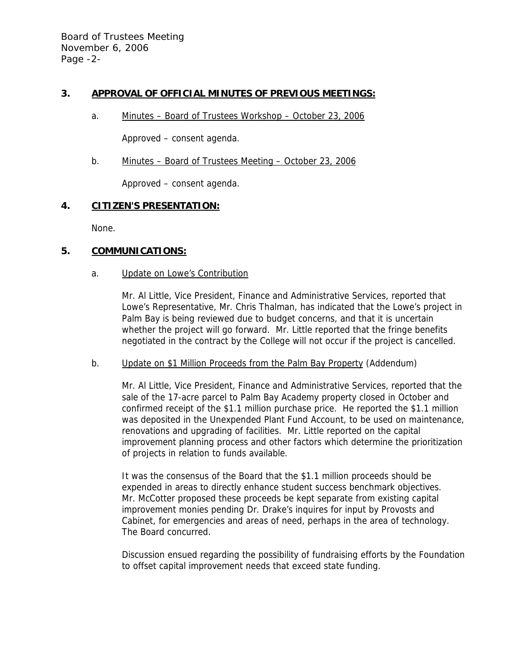# **3. APPROVAL OF OFFICIAL MINUTES OF PREVIOUS MEETINGS:**

a. Minutes – Board of Trustees Workshop – October 23, 2006

Approved – consent agenda.

b. Minutes – Board of Trustees Meeting – October 23, 2006

Approved – consent agenda.

### **4. CITIZEN'S PRESENTATION:**

None.

# **5. COMMUNICATIONS:**

### a. Update on Lowe's Contribution

Mr. Al Little, Vice President, Finance and Administrative Services, reported that Lowe's Representative, Mr. Chris Thalman, has indicated that the Lowe's project in Palm Bay is being reviewed due to budget concerns, and that it is uncertain whether the project will go forward. Mr. Little reported that the fringe benefits negotiated in the contract by the College will not occur if the project is cancelled.

### b. Update on \$1 Million Proceeds from the Palm Bay Property (Addendum)

Mr. Al Little, Vice President, Finance and Administrative Services, reported that the sale of the 17-acre parcel to Palm Bay Academy property closed in October and confirmed receipt of the \$1.1 million purchase price. He reported the \$1.1 million was deposited in the Unexpended Plant Fund Account, to be used on maintenance, renovations and upgrading of facilities. Mr. Little reported on the capital improvement planning process and other factors which determine the prioritization of projects in relation to funds available.

It was the consensus of the Board that the \$1.1 million proceeds should be expended in areas to directly enhance student success benchmark objectives. Mr. McCotter proposed these proceeds be kept separate from existing capital improvement monies pending Dr. Drake's inquires for input by Provosts and Cabinet, for emergencies and areas of need, perhaps in the area of technology. The Board concurred.

Discussion ensued regarding the possibility of fundraising efforts by the Foundation to offset capital improvement needs that exceed state funding.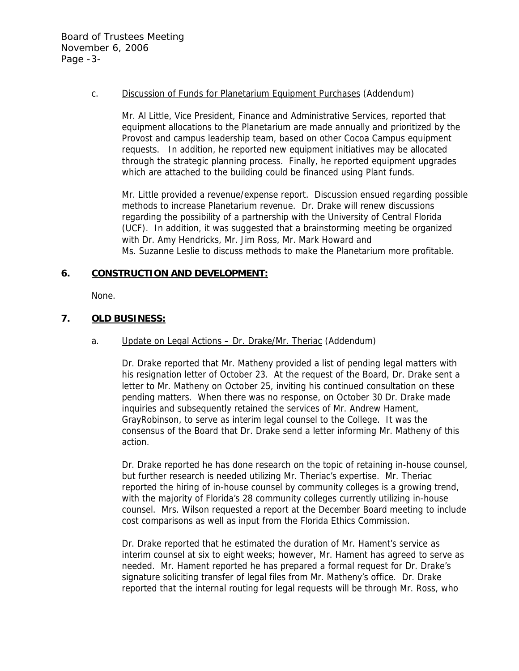Board of Trustees Meeting November 6, 2006 Page -3-

### c. Discussion of Funds for Planetarium Equipment Purchases (Addendum)

Mr. Al Little, Vice President, Finance and Administrative Services, reported that equipment allocations to the Planetarium are made annually and prioritized by the Provost and campus leadership team, based on other Cocoa Campus equipment requests. In addition, he reported new equipment initiatives may be allocated through the strategic planning process. Finally, he reported equipment upgrades which are attached to the building could be financed using Plant funds.

Mr. Little provided a revenue/expense report. Discussion ensued regarding possible methods to increase Planetarium revenue. Dr. Drake will renew discussions regarding the possibility of a partnership with the University of Central Florida (UCF). In addition, it was suggested that a brainstorming meeting be organized with Dr. Amy Hendricks, Mr. Jim Ross, Mr. Mark Howard and Ms. Suzanne Leslie to discuss methods to make the Planetarium more profitable.

# **6. CONSTRUCTION AND DEVELOPMENT:**

None.

### **7. OLD BUSINESS:**

### a. Update on Legal Actions – Dr. Drake/Mr. Theriac (Addendum)

Dr. Drake reported that Mr. Matheny provided a list of pending legal matters with his resignation letter of October 23. At the request of the Board, Dr. Drake sent a letter to Mr. Matheny on October 25, inviting his continued consultation on these pending matters. When there was no response, on October 30 Dr. Drake made inquiries and subsequently retained the services of Mr. Andrew Hament, GrayRobinson, to serve as interim legal counsel to the College. It was the consensus of the Board that Dr. Drake send a letter informing Mr. Matheny of this action.

Dr. Drake reported he has done research on the topic of retaining in-house counsel, but further research is needed utilizing Mr. Theriac's expertise. Mr. Theriac reported the hiring of in-house counsel by community colleges is a growing trend, with the majority of Florida's 28 community colleges currently utilizing in-house counsel. Mrs. Wilson requested a report at the December Board meeting to include cost comparisons as well as input from the Florida Ethics Commission.

Dr. Drake reported that he estimated the duration of Mr. Hament's service as interim counsel at six to eight weeks; however, Mr. Hament has agreed to serve as needed. Mr. Hament reported he has prepared a formal request for Dr. Drake's signature soliciting transfer of legal files from Mr. Matheny's office. Dr. Drake reported that the internal routing for legal requests will be through Mr. Ross, who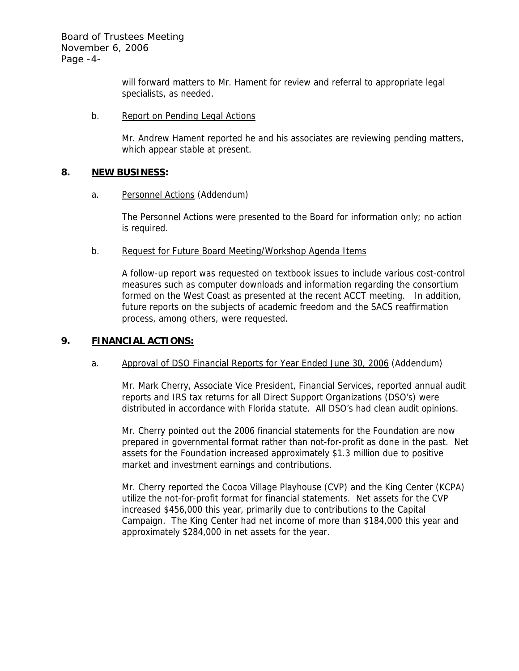will forward matters to Mr. Hament for review and referral to appropriate legal specialists, as needed.

### b. Report on Pending Legal Actions

Mr. Andrew Hament reported he and his associates are reviewing pending matters, which appear stable at present.

# **8. NEW BUSINESS:**

a. Personnel Actions (Addendum)

The Personnel Actions were presented to the Board for information only; no action is required.

b. Request for Future Board Meeting/Workshop Agenda Items

A follow-up report was requested on textbook issues to include various cost-control measures such as computer downloads and information regarding the consortium formed on the West Coast as presented at the recent ACCT meeting. In addition, future reports on the subjects of academic freedom and the SACS reaffirmation process, among others, were requested.

# **9. FINANCIAL ACTIONS:**

# a. Approval of DSO Financial Reports for Year Ended June 30, 2006 (Addendum)

Mr. Mark Cherry, Associate Vice President, Financial Services, reported annual audit reports and IRS tax returns for all Direct Support Organizations (DSO's) were distributed in accordance with Florida statute. All DSO's had clean audit opinions.

Mr. Cherry pointed out the 2006 financial statements for the Foundation are now prepared in governmental format rather than not-for-profit as done in the past. Net assets for the Foundation increased approximately \$1.3 million due to positive market and investment earnings and contributions.

Mr. Cherry reported the Cocoa Village Playhouse (CVP) and the King Center (KCPA) utilize the not-for-profit format for financial statements. Net assets for the CVP increased \$456,000 this year, primarily due to contributions to the Capital Campaign. The King Center had net income of more than \$184,000 this year and approximately \$284,000 in net assets for the year.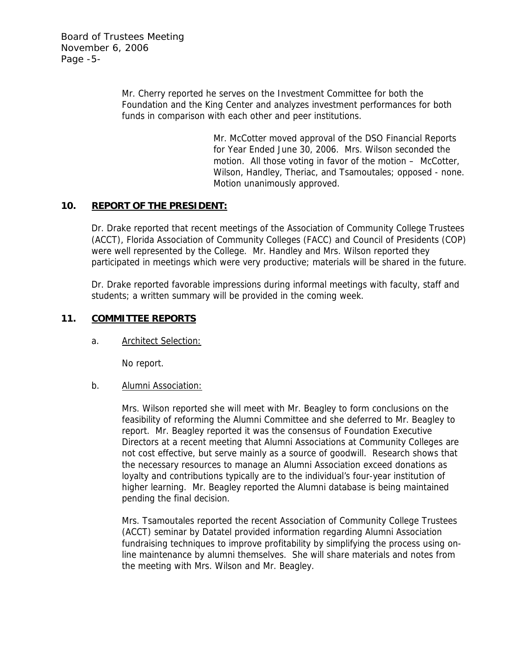Board of Trustees Meeting November 6, 2006 Page -5-

> Mr. Cherry reported he serves on the Investment Committee for both the Foundation and the King Center and analyzes investment performances for both funds in comparison with each other and peer institutions.

> > Mr. McCotter moved approval of the DSO Financial Reports for Year Ended June 30, 2006. Mrs. Wilson seconded the motion. All those voting in favor of the motion – McCotter, Wilson, Handley, Theriac, and Tsamoutales; opposed - none. Motion unanimously approved.

# **10. REPORT OF THE PRESIDENT:**

Dr. Drake reported that recent meetings of the Association of Community College Trustees (ACCT), Florida Association of Community Colleges (FACC) and Council of Presidents (COP) were well represented by the College. Mr. Handley and Mrs. Wilson reported they participated in meetings which were very productive; materials will be shared in the future.

Dr. Drake reported favorable impressions during informal meetings with faculty, staff and students; a written summary will be provided in the coming week.

### **11. COMMITTEE REPORTS**

a. Architect Selection:

No report.

### b. Alumni Association:

Mrs. Wilson reported she will meet with Mr. Beagley to form conclusions on the feasibility of reforming the Alumni Committee and she deferred to Mr. Beagley to report. Mr. Beagley reported it was the consensus of Foundation Executive Directors at a recent meeting that Alumni Associations at Community Colleges are not cost effective, but serve mainly as a source of goodwill. Research shows that the necessary resources to manage an Alumni Association exceed donations as loyalty and contributions typically are to the individual's four-year institution of higher learning. Mr. Beagley reported the Alumni database is being maintained pending the final decision.

Mrs. Tsamoutales reported the recent Association of Community College Trustees (ACCT) seminar by Datatel provided information regarding Alumni Association fundraising techniques to improve profitability by simplifying the process using online maintenance by alumni themselves. She will share materials and notes from the meeting with Mrs. Wilson and Mr. Beagley.